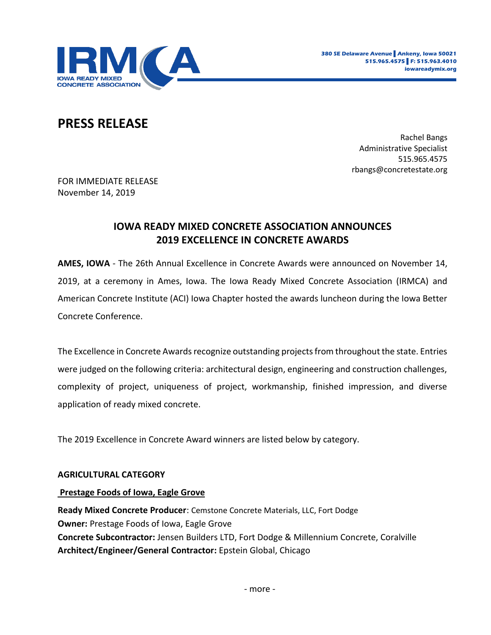

# **PRESS RELEASE**

Rachel Bangs Administrative Specialist 515.965.4575 rbangs@concretestate.org

FOR IMMEDIATE RELEASE November 14, 2019

# **IOWA READY MIXED CONCRETE ASSOCIATION ANNOUNCES 2019 EXCELLENCE IN CONCRETE AWARDS**

**AMES, IOWA** - The 26th Annual Excellence in Concrete Awards were announced on November 14, 2019, at a ceremony in Ames, Iowa. The Iowa Ready Mixed Concrete Association (IRMCA) and American Concrete Institute (ACI) Iowa Chapter hosted the awards luncheon during the Iowa Better Concrete Conference.

The Excellence in Concrete Awards recognize outstanding projects from throughout the state. Entries were judged on the following criteria: architectural design, engineering and construction challenges, complexity of project, uniqueness of project, workmanship, finished impression, and diverse application of ready mixed concrete.

The 2019 Excellence in Concrete Award winners are listed below by category.

# **AGRICULTURAL CATEGORY**

# **Prestage Foods of Iowa, Eagle Grove**

**Ready Mixed Concrete Producer**: Cemstone Concrete Materials, LLC, Fort Dodge **Owner:** Prestage Foods of Iowa, Eagle Grove **Concrete Subcontractor:** Jensen Builders LTD, Fort Dodge & Millennium Concrete, Coralville **Architect/Engineer/General Contractor:** Epstein Global, Chicago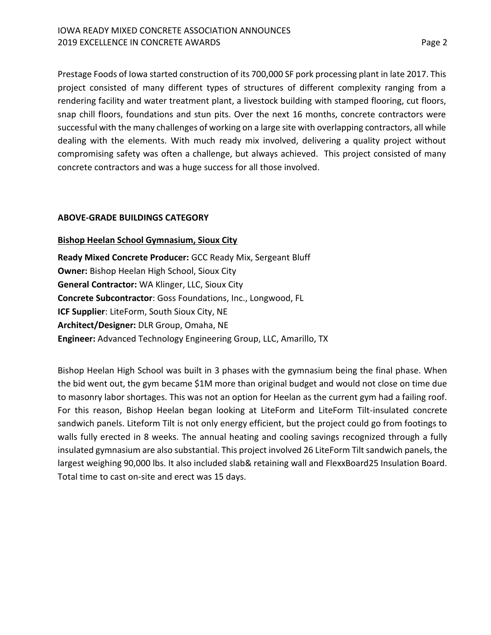Prestage Foods of Iowa started construction of its 700,000 SF pork processing plant in late 2017. This project consisted of many different types of structures of different complexity ranging from a rendering facility and water treatment plant, a livestock building with stamped flooring, cut floors, snap chill floors, foundations and stun pits. Over the next 16 months, concrete contractors were successful with the many challenges of working on a large site with overlapping contractors, all while dealing with the elements. With much ready mix involved, delivering a quality project without compromising safety was often a challenge, but always achieved. This project consisted of many concrete contractors and was a huge success for all those involved.

# **ABOVE-GRADE BUILDINGS CATEGORY**

# **Bishop Heelan School Gymnasium, Sioux City**

**Ready Mixed Concrete Producer:** GCC Ready Mix, Sergeant Bluff **Owner:** Bishop Heelan High School, Sioux City **General Contractor:** WA Klinger, LLC, Sioux City **Concrete Subcontractor**: Goss Foundations, Inc., Longwood, FL **ICF Supplier**: LiteForm, South Sioux City, NE **Architect/Designer:** DLR Group, Omaha, NE **Engineer:** Advanced Technology Engineering Group, LLC, Amarillo, TX

Bishop Heelan High School was built in 3 phases with the gymnasium being the final phase. When the bid went out, the gym became \$1M more than original budget and would not close on time due to masonry labor shortages. This was not an option for Heelan as the current gym had a failing roof. For this reason, Bishop Heelan began looking at LiteForm and LiteForm Tilt-insulated concrete sandwich panels. Liteform Tilt is not only energy efficient, but the project could go from footings to walls fully erected in 8 weeks. The annual heating and cooling savings recognized through a fully insulated gymnasium are also substantial. This project involved 26 LiteForm Tilt sandwich panels, the largest weighing 90,000 lbs. It also included slab& retaining wall and FlexxBoard25 Insulation Board. Total time to cast on-site and erect was 15 days.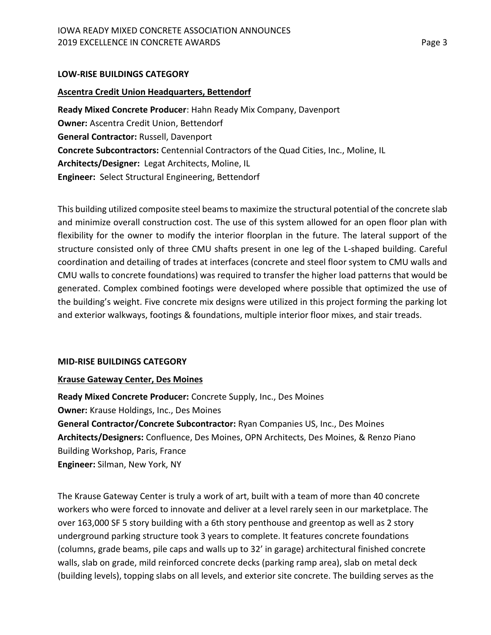# **LOW-RISE BUILDINGS CATEGORY**

# **Ascentra Credit Union Headquarters, Bettendorf**

**Ready Mixed Concrete Producer**: Hahn Ready Mix Company, Davenport **Owner:** Ascentra Credit Union, Bettendorf **General Contractor:** Russell, Davenport **Concrete Subcontractors:** Centennial Contractors of the Quad Cities, Inc., Moline, IL **Architects/Designer:** Legat Architects, Moline, IL **Engineer:** Select Structural Engineering, Bettendorf

This building utilized composite steel beams to maximize the structural potential of the concrete slab and minimize overall construction cost. The use of this system allowed for an open floor plan with flexibility for the owner to modify the interior floorplan in the future. The lateral support of the structure consisted only of three CMU shafts present in one leg of the L-shaped building. Careful coordination and detailing of trades at interfaces (concrete and steel floor system to CMU walls and CMU walls to concrete foundations) was required to transfer the higher load patterns that would be generated. Complex combined footings were developed where possible that optimized the use of the building's weight. Five concrete mix designs were utilized in this project forming the parking lot and exterior walkways, footings & foundations, multiple interior floor mixes, and stair treads.

# **MID-RISE BUILDINGS CATEGORY**

# **Krause Gateway Center, Des Moines**

**Ready Mixed Concrete Producer:** Concrete Supply, Inc., Des Moines **Owner:** Krause Holdings, Inc., Des Moines **General Contractor/Concrete Subcontractor:** Ryan Companies US, Inc., Des Moines **Architects/Designers:** Confluence, Des Moines, OPN Architects, Des Moines, & Renzo Piano Building Workshop, Paris, France **Engineer:** Silman, New York, NY

The Krause Gateway Center is truly a work of art, built with a team of more than 40 concrete workers who were forced to innovate and deliver at a level rarely seen in our marketplace. The over 163,000 SF 5 story building with a 6th story penthouse and greentop as well as 2 story underground parking structure took 3 years to complete. It features concrete foundations (columns, grade beams, pile caps and walls up to 32' in garage) architectural finished concrete walls, slab on grade, mild reinforced concrete decks (parking ramp area), slab on metal deck (building levels), topping slabs on all levels, and exterior site concrete. The building serves as the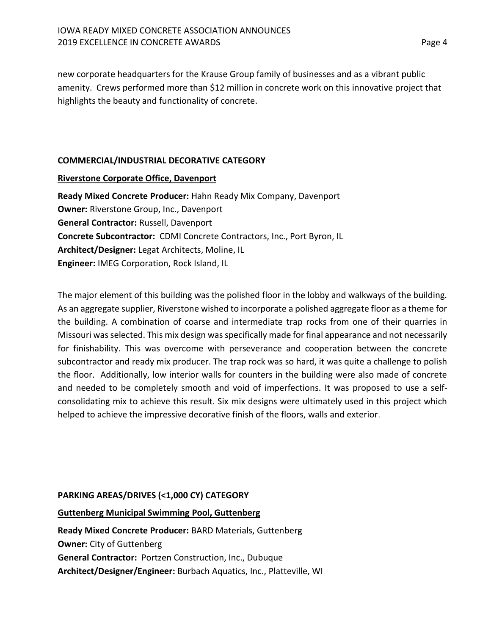new corporate headquarters for the Krause Group family of businesses and as a vibrant public amenity. Crews performed more than \$12 million in concrete work on this innovative project that highlights the beauty and functionality of concrete.

# **COMMERCIAL/INDUSTRIAL DECORATIVE CATEGORY**

# **Riverstone Corporate Office, Davenport**

**Ready Mixed Concrete Producer:** Hahn Ready Mix Company, Davenport **Owner:** Riverstone Group, Inc., Davenport **General Contractor:** Russell, Davenport **Concrete Subcontractor:** CDMI Concrete Contractors, Inc., Port Byron, IL **Architect/Designer:** Legat Architects, Moline, IL **Engineer:** IMEG Corporation, Rock Island, IL

The major element of this building was the polished floor in the lobby and walkways of the building. As an aggregate supplier, Riverstone wished to incorporate a polished aggregate floor as a theme for the building. A combination of coarse and intermediate trap rocks from one of their quarries in Missouri was selected. This mix design was specifically made for final appearance and not necessarily for finishability. This was overcome with perseverance and cooperation between the concrete subcontractor and ready mix producer. The trap rock was so hard, it was quite a challenge to polish the floor. Additionally, low interior walls for counters in the building were also made of concrete and needed to be completely smooth and void of imperfections. It was proposed to use a selfconsolidating mix to achieve this result. Six mix designs were ultimately used in this project which helped to achieve the impressive decorative finish of the floors, walls and exterior.

# **PARKING AREAS/DRIVES (<1,000 CY) CATEGORY**

# **Guttenberg Municipal Swimming Pool, Guttenberg**

**Ready Mixed Concrete Producer:** BARD Materials, Guttenberg **Owner:** City of Guttenberg **General Contractor:** Portzen Construction, Inc., Dubuque **Architect/Designer/Engineer:** Burbach Aquatics, Inc., Platteville, WI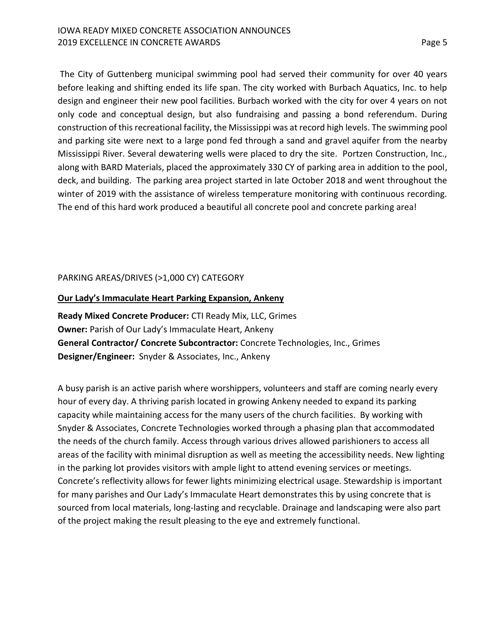The City of Guttenberg municipal swimming pool had served their community for over 40 years before leaking and shifting ended its life span. The city worked with Burbach Aquatics, Inc. to help design and engineer their new pool facilities. Burbach worked with the city for over 4 years on not only code and conceptual design, but also fundraising and passing a bond referendum. During construction of this recreational facility, the Mississippi was at record high levels. The swimming pool and parking site were next to a large pond fed through a sand and gravel aquifer from the nearby Mississippi River. Several dewatering wells were placed to dry the site. Portzen Construction, Inc., along with BARD Materials, placed the approximately 330 CY of parking area in addition to the pool, deck, and building. The parking area project started in late October 2018 and went throughout the winter of 2019 with the assistance of wireless temperature monitoring with continuous recording. The end of this hard work produced a beautiful all concrete pool and concrete parking area!

# PARKING AREAS/DRIVES (>1,000 CY) CATEGORY

# **Our Lady's Immaculate Heart Parking Expansion, Ankeny**

**Ready Mixed Concrete Producer:** CTI Ready Mix, LLC, Grimes **Owner:** Parish of Our Lady's Immaculate Heart, Ankeny **General Contractor/ Concrete Subcontractor:** Concrete Technologies, Inc., Grimes **Designer/Engineer:** Snyder & Associates, Inc., Ankeny

A busy parish is an active parish where worshippers, volunteers and staff are coming nearly every hour of every day. A thriving parish located in growing Ankeny needed to expand its parking capacity while maintaining access for the many users of the church facilities. By working with Snyder & Associates, Concrete Technologies worked through a phasing plan that accommodated the needs of the church family. Access through various drives allowed parishioners to access all areas of the facility with minimal disruption as well as meeting the accessibility needs. New lighting in the parking lot provides visitors with ample light to attend evening services or meetings. Concrete's reflectivity allows for fewer lights minimizing electrical usage. Stewardship is important for many parishes and Our Lady's Immaculate Heart demonstrates this by using concrete that is sourced from local materials, long-lasting and recyclable. Drainage and landscaping were also part of the project making the result pleasing to the eye and extremely functional.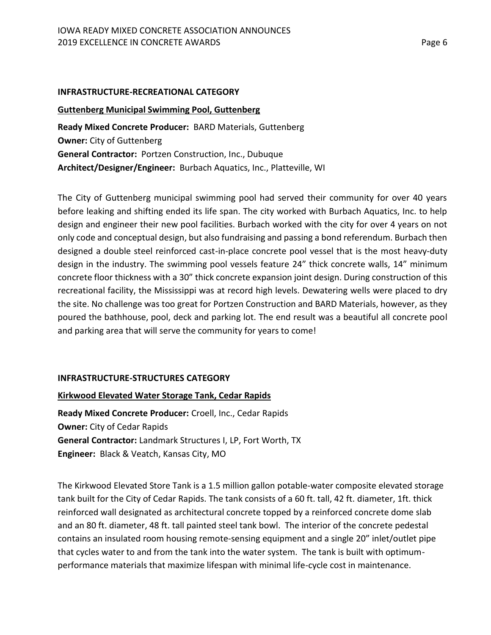#### **INFRASTRUCTURE-RECREATIONAL CATEGORY**

## **Guttenberg Municipal Swimming Pool, Guttenberg**

**Ready Mixed Concrete Producer:** BARD Materials, Guttenberg **Owner:** City of Guttenberg **General Contractor:** Portzen Construction, Inc., Dubuque **Architect/Designer/Engineer:** Burbach Aquatics, Inc., Platteville, WI

The City of Guttenberg municipal swimming pool had served their community for over 40 years before leaking and shifting ended its life span. The city worked with Burbach Aquatics, Inc. to help design and engineer their new pool facilities. Burbach worked with the city for over 4 years on not only code and conceptual design, but also fundraising and passing a bond referendum. Burbach then designed a double steel reinforced cast-in-place concrete pool vessel that is the most heavy-duty design in the industry. The swimming pool vessels feature 24" thick concrete walls, 14" minimum concrete floor thickness with a 30" thick concrete expansion joint design. During construction of this recreational facility, the Mississippi was at record high levels. Dewatering wells were placed to dry the site. No challenge was too great for Portzen Construction and BARD Materials, however, as they poured the bathhouse, pool, deck and parking lot. The end result was a beautiful all concrete pool and parking area that will serve the community for years to come!

# **INFRASTRUCTURE-STRUCTURES CATEGORY**

# **Kirkwood Elevated Water Storage Tank, Cedar Rapids**

**Ready Mixed Concrete Producer:** Croell, Inc., Cedar Rapids **Owner:** City of Cedar Rapids **General Contractor:** Landmark Structures I, LP, Fort Worth, TX **Engineer:** Black & Veatch, Kansas City, MO

The Kirkwood Elevated Store Tank is a 1.5 million gallon potable-water composite elevated storage tank built for the City of Cedar Rapids. The tank consists of a 60 ft. tall, 42 ft. diameter, 1ft. thick reinforced wall designated as architectural concrete topped by a reinforced concrete dome slab and an 80 ft. diameter, 48 ft. tall painted steel tank bowl. The interior of the concrete pedestal contains an insulated room housing remote-sensing equipment and a single 20" inlet/outlet pipe that cycles water to and from the tank into the water system. The tank is built with optimumperformance materials that maximize lifespan with minimal life-cycle cost in maintenance.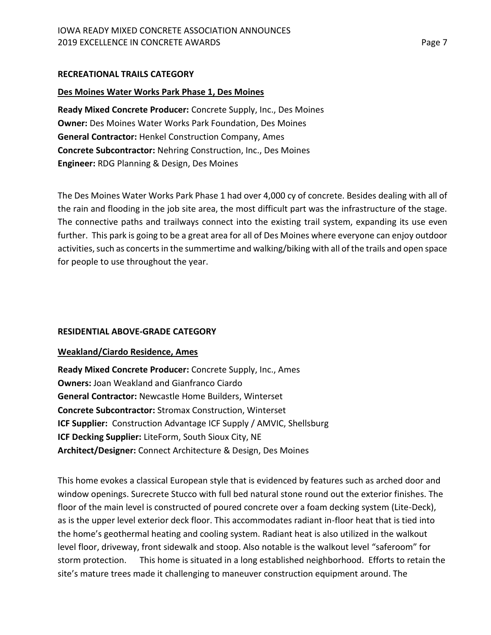# **RECREATIONAL TRAILS CATEGORY**

# **Des Moines Water Works Park Phase 1, Des Moines**

**Ready Mixed Concrete Producer:** Concrete Supply, Inc., Des Moines **Owner:** Des Moines Water Works Park Foundation, Des Moines **General Contractor:** Henkel Construction Company, Ames **Concrete Subcontractor:** Nehring Construction, Inc., Des Moines **Engineer:** RDG Planning & Design, Des Moines

The Des Moines Water Works Park Phase 1 had over 4,000 cy of concrete. Besides dealing with all of the rain and flooding in the job site area, the most difficult part was the infrastructure of the stage. The connective paths and trailways connect into the existing trail system, expanding its use even further. This park is going to be a great area for all of Des Moines where everyone can enjoy outdoor activities, such as concerts in the summertime and walking/biking with all of the trails and open space for people to use throughout the year.

# **RESIDENTIAL ABOVE-GRADE CATEGORY**

# **Weakland/Ciardo Residence, Ames**

**Ready Mixed Concrete Producer:** Concrete Supply, Inc., Ames **Owners:** Joan Weakland and Gianfranco Ciardo **General Contractor:** Newcastle Home Builders, Winterset **Concrete Subcontractor:** Stromax Construction, Winterset **ICF Supplier:** Construction Advantage ICF Supply / AMVIC, Shellsburg **ICF Decking Supplier:** LiteForm, South Sioux City, NE **Architect/Designer:** Connect Architecture & Design, Des Moines

This home evokes a classical European style that is evidenced by features such as arched door and window openings. Surecrete Stucco with full bed natural stone round out the exterior finishes. The floor of the main level is constructed of poured concrete over a foam decking system (Lite-Deck), as is the upper level exterior deck floor. This accommodates radiant in-floor heat that is tied into the home's geothermal heating and cooling system. Radiant heat is also utilized in the walkout level floor, driveway, front sidewalk and stoop. Also notable is the walkout level "saferoom" for storm protection. This home is situated in a long established neighborhood. Efforts to retain the site's mature trees made it challenging to maneuver construction equipment around. The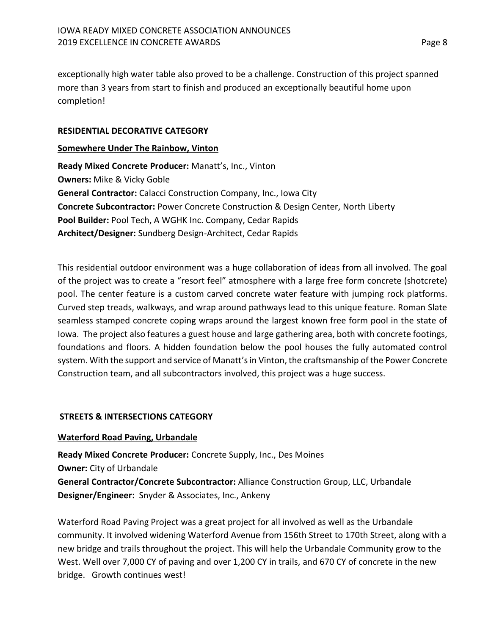exceptionally high water table also proved to be a challenge. Construction of this project spanned more than 3 years from start to finish and produced an exceptionally beautiful home upon completion!

## **RESIDENTIAL DECORATIVE CATEGORY**

## **Somewhere Under The Rainbow, Vinton**

**Ready Mixed Concrete Producer:** Manatt's, Inc., Vinton **Owners:** Mike & Vicky Goble **General Contractor:** Calacci Construction Company, Inc., Iowa City **Concrete Subcontractor:** Power Concrete Construction & Design Center, North Liberty **Pool Builder:** Pool Tech, A WGHK Inc. Company, Cedar Rapids **Architect/Designer:** Sundberg Design-Architect, Cedar Rapids

This residential outdoor environment was a huge collaboration of ideas from all involved. The goal of the project was to create a "resort feel" atmosphere with a large free form concrete (shotcrete) pool. The center feature is a custom carved concrete water feature with jumping rock platforms. Curved step treads, walkways, and wrap around pathways lead to this unique feature. Roman Slate seamless stamped concrete coping wraps around the largest known free form pool in the state of Iowa. The project also features a guest house and large gathering area, both with concrete footings, foundations and floors. A hidden foundation below the pool houses the fully automated control system. With the support and service of Manatt's in Vinton, the craftsmanship of the Power Concrete Construction team, and all subcontractors involved, this project was a huge success.

# **STREETS & INTERSECTIONS CATEGORY**

# **Waterford Road Paving, Urbandale**

**Ready Mixed Concrete Producer:** Concrete Supply, Inc., Des Moines **Owner:** City of Urbandale **General Contractor/Concrete Subcontractor:** Alliance Construction Group, LLC, Urbandale **Designer/Engineer:** Snyder & Associates, Inc., Ankeny

Waterford Road Paving Project was a great project for all involved as well as the Urbandale community. It involved widening Waterford Avenue from 156th Street to 170th Street, along with a new bridge and trails throughout the project. This will help the Urbandale Community grow to the West. Well over 7,000 CY of paving and over 1,200 CY in trails, and 670 CY of concrete in the new bridge. Growth continues west!